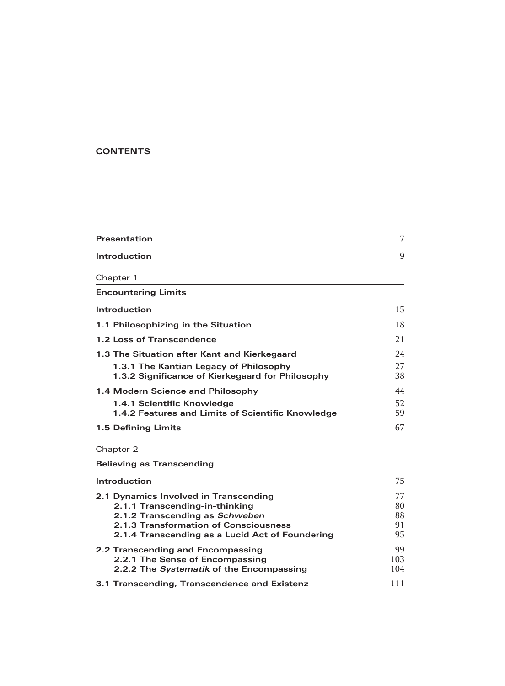## **CONTENTS**

| Presentation                                      | 7  |
|---------------------------------------------------|----|
| Introduction                                      | 9  |
| Chapter 1                                         |    |
| <b>Encountering Limits</b>                        |    |
| Introduction                                      | 15 |
| 1.1 Philosophizing in the Situation               | 18 |
| 1.2 Loss of Transcendence                         | 21 |
| 1.3 The Situation after Kant and Kierkegaard      | 24 |
| 1.3.1 The Kantian Legacy of Philosophy            | 27 |
| 1.3.2 Significance of Kierkegaard for Philosophy  | 38 |
| 1.4 Modern Science and Philosophy                 | 44 |
| 1.4.1 Scientific Knowledge                        | 52 |
| 1.4.2 Features and Limits of Scientific Knowledge | 59 |
| 1.5 Defining Limits                               | 67 |

Chapter 2

| <b>Believing as Transcending</b>                |     |
|-------------------------------------------------|-----|
| Introduction                                    | 75  |
| 2.1 Dynamics Involved in Transcending           | 77  |
| 2.1.1 Transcending-in-thinking                  | 80  |
| 2.1.2 Transcending as Schweben                  | 88  |
| 2.1.3 Transformation of Consciousness           | 91  |
| 2.1.4 Transcending as a Lucid Act of Foundering | 95  |
| 2.2 Transcending and Encompassing               | 99  |
| 2.2.1 The Sense of Encompassing                 | 103 |
| 2.2.2 The Systematik of the Encompassing        | 104 |
| 3.1 Transcending, Transcendence and Existenz    |     |